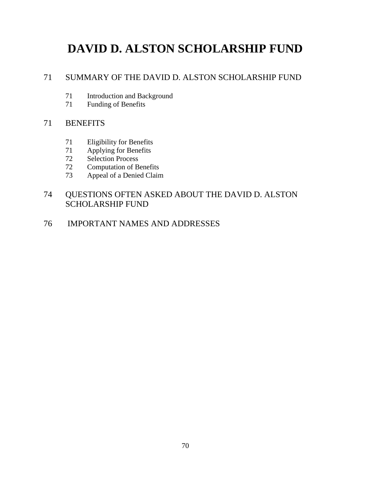# **DAVID D. ALSTON SCHOLARSHIP FUND**

# 71 SUMMARY OF THE DAVID D. ALSTON SCHOLARSHIP FUND

- 71 Introduction and Background<br>71 Funding of Benefits
- Funding of Benefits

# 71 BENEFITS

- 71 Eligibility for Benefits<br>71 Applying for Benefits
- Applying for Benefits
- 72 Selection Process
- 72 Computation of Benefits
- 73 Appeal of a Denied Claim

# 74 QUESTIONS OFTEN ASKED ABOUT THE DAVID D. ALSTON SCHOLARSHIP FUND

76 IMPORTANT NAMES AND ADDRESSES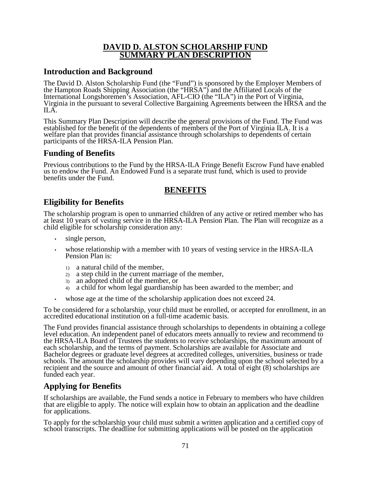## **DAVID D. ALSTON SCHOLARSHIP FUND SUMMARY PLAN DESCRIPTION**

# **Introduction and Background**

The David D. Alston Scholarship Fund (the "Fund") is sponsored by the Employer Members of the Hampton Roads Shipping Association (the "HRSA") and the Affiliated Locals of the International Longshoremen's Association, AFL-CIO (the "ILA") in the Port of Virginia,<br>Virginia in the pursuant to several Collective Bargaining Agreements between the HRSA and the ILA.

This Summary Plan Description will describe the general provisions of the Fund. The Fund was established for the benefit of the dependents of members of the Port of Virginia ILA. It is a welfare plan that provides financial assistance through scholarships to dependents of certain participants of the HRSA-ILA Pension Plan.

# **Funding of Benefits**

Previous contributions to the Fund by the HRSA-ILA Fringe Benefit Escrow Fund have enabled us to endow the Fund. An Endowed Fund is a separate trust fund, which is used to provide benefits under the Fund.

# **BENEFITS**

# **Eligibility for Benefits**

The scholarship program is open to unmarried children of any active or retired member who has at least 10 years of vesting service in the HRSA-ILA Pension Plan. The Plan will recognize as a child eligible for scholarship consideration any:

- single person.
- whose relationship with a member with 10 years of vesting service in the HRSA-ILA Pension Plan is:
	- 1) a natural child of the member,
	- 2) a step child in the current marriage of the member,
	- 3) an adopted child of the member, or
	- 4) a child for whom legal guardianship has been awarded to the member; and
- whose age at the time of the scholarship application does not exceed 24.

To be considered for a scholarship, your child must be enrolled, or accepted for enrollment, in an accredited educational institution on a full-time academic basis.

The Fund provides financial assistance through scholarships to dependents in obtaining a college level education. An independent panel of educators meets annually to review and recommend to the HRSA-ILA Board of Trustees the students to receive scholarships, the maximum amount of each scholarship, and the terms of payment. Scholarships are available for Associate and Bachelor degrees or graduate level degrees at accredited colleges, universities, business or trade schools. The amount the scholarship provides will vary depending upon the school selected by a recipient and the source and amount of other financial aid. A total of eight (8) scholarships are funded each year.

# **Applying for Benefits**

If scholarships are available, the Fund sends a notice in February to members who have children that are eligible to apply. The notice will explain how to obtain an application and the deadline for applications.

To apply for the scholarship your child must submit a written application and a certified copy of school transcripts. The deadline for submitting applications will be posted on the application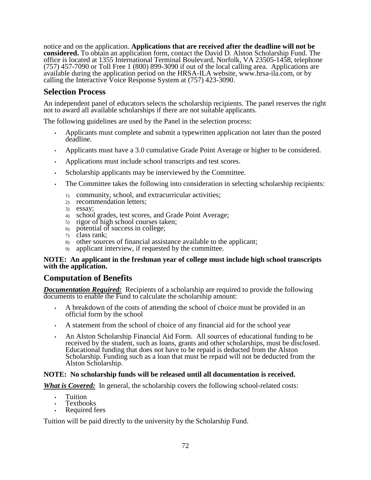notice and on the application. **Applications that are received after the deadline will not be considered.** To obtain an application form, contact the David D. Alston Scholarship Fund. The office is located at 1355 International Terminal Boulevard, Norfolk, VA 23505-1458, telephone (757) 457-7090 or Toll Free 1 (800) 899-3090 if out of the local calling area. Applications are available during the application period on the HRSA-ILA website, www.hrsa-ila.com, or by calling the Interactive Voice Response System at (757) 423-3090.

# **Selection Process**

An independent panel of educators selects the scholarship recipients. The panel reserves the right not to award all available scholarships if there are not suitable applicants.

The following guidelines are used by the Panel in the selection process:

- Applicants must complete and submit a typewritten application not later than the posted deadline.
- Applicants must have a 3.0 cumulative Grade Point Average or higher to be considered.
- Applications must include school transcripts and test scores.
- Scholarship applicants may be interviewed by the Committee.
- The Committee takes the following into consideration in selecting scholarship recipients:
	- 1) community, school, and extracurricular activities;
	- 2) recommendation letters;
	- 3) essay;
	- 4) school grades, test scores, and Grade Point Average;
	- 5) rigor of high school courses taken;
	- 6) potential of success in college;
	- 7) class rank;
	- 8) other sources of financial assistance available to the applicant;
	- 9) applicant interview, if requested by the committee.

## **NOTE: An applicant in the freshman year of college must include high school transcripts with the application.**

## **Computation of Benefits**

*Documentation Required:* Recipients of a scholarship are required to provide the following documents to enable the Fund to calculate the scholarship amount:

- A breakdown of the costs of attending the school of choice must be provided in an official form by the school
- A statement from the school of choice of any financial aid for the school year
- An Alston Scholarship Financial Aid Form. All sources of educational funding to be received by the student, such as loans, grants and other scholarships, must be disclosed. Educational funding that does not have to be repaid is deducted from the Alston Scholarship. Funding such as a loan that must be repaid will not be deducted from the Alston Scholarship.

## **NOTE: No scholarship funds will be released until all documentation is received.**

*What is Covered:* In general, the scholarship covers the following school-related costs:

- Tuition
- Textbooks
- Required fees

Tuition will be paid directly to the university by the Scholarship Fund.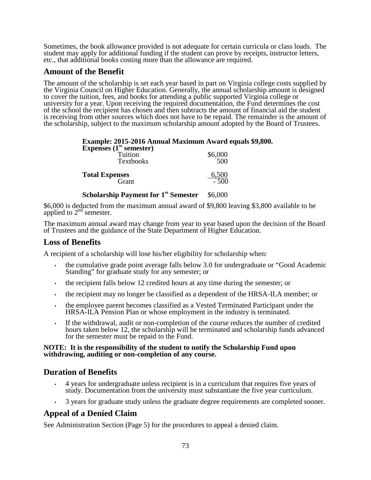Sometimes, the book allowance provided is not adequate for certain curricula or class loads. The student may apply for additional funding if the student can prove by receipts, instructor letters, etc., that additional books costing more than the allowance are required.

## **Amount of the Benefit**

The amount of the scholarship is set each year based in part on Virginia college costs supplied by the Virginia Council on Higher Education. Generally, the annual scholarship amount is designed to cover the tuition, fees, and books for attending a public supported Virginia college or university for a year. Upon receiving the required documentation, the Fund determines the cost of the school the recipient has chosen and then subtracts the amount of financial aid the student is receiving from other sources which does not have to be repaid. The remainder is the amount of the scholarship, subject to the maximum scholarship amount adopted by the Board of Trustees.

## **Example: 2015-2016 Annual Maximum Award equals \$9,800.**

| Expenses $(1st$ semester)<br>Tuition<br><b>Textbooks</b> | \$6,000<br>500 |
|----------------------------------------------------------|----------------|
| <b>Total Expenses</b>                                    | 6,500          |
| Grant                                                    | $-500$         |

**Scholarship Payment for 1<sup>st</sup> Semester** \$6,000

\$6,000 is deducted from the maximum annual award of \$9,800 leaving \$3,800 available to be applied to  $2<sup>nd</sup>$  semester.

The maximum annual award may change from year to year based upon the decision of the Board of Trustees and the guidance of the State Department of Higher Education.

## **Loss of Benefits**

A recipient of a scholarship will lose his/her eligibility for scholarship when:

- the cumulative grade point average falls below 3.0 for undergraduate or "Good Academic Standing" for graduate study for any semester; or
- the recipient falls below 12 credited hours at any time during the semester; or
- the recipient may no longer be classified as a dependent of the HRSA-ILA member; or
- the employee parent becomes classified as a Vested Terminated Participant under the HRSA-ILA Pension Plan or whose employment in the industry is terminated.
- If the withdrawal, audit or non-completion of the course reduces the number of credited hours taken below 12, the scholarship will be terminated and scholarship funds advanced for the semester must be repaid to the Fund.

## **NOTE: It is the responsibility of the student to notify the Scholarship Fund upon withdrawing, auditing or non-completion of any course.**

## **Duration of Benefits**

- 4 years for undergraduate unless recipient is in a curriculum that requires five years of study. Documentation from the university must substantiate the five year curriculum.
- 3 years for graduate study unless the graduate degree requirements are completed sooner.

# **Appeal of a Denied Claim**

See Administration Section (Page 5) for the procedures to appeal a denied claim.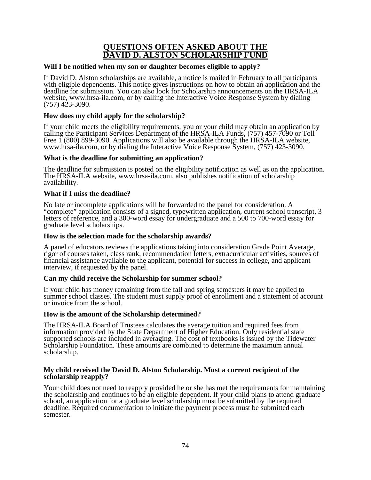## **QUESTIONS OFTEN ASKED ABOUT THE DAVID D. ALSTON SCHOLARSHIP FUND**

## **Will I be notified when my son or daughter becomes eligible to apply?**

If David D. Alston scholarships are available, a notice is mailed in February to all participants with eligible dependents. This notice gives instructions on how to obtain an application and the deadline for submission. You can also look for Scholarship announcements on the HRSA-ILA website, www.hrsa-ila.com, or by calling the Interactive Voice Response System by dialing (757) 423-3090.

## **How does my child apply for the scholarship?**

If your child meets the eligibility requirements, you or your child may obtain an application by calling the Participant Services Department of the HRSA-ILA Funds, (757) 457-7090 or Toll Free 1 (800) 899-3090. Applications will also be available through the HRSA-ILA website, www.hrsa-ila.com, or by dialing the Interactive Voice Response System, (757) 423-3090.

## **What is the deadline for submitting an application?**

The deadline for submission is posted on the eligibility notification as well as on the application. The HRSA-ILA website, www.hrsa-ila.com, also publishes notification of scholarship availability.

## **What if I miss the deadline?**

No late or incomplete applications will be forwarded to the panel for consideration. A "complete" application consists of a signed, typewritten application, current school transcript, 3 letters of reference, and a 300-word essay for undergraduate and a 500 to 700-word essay for graduate level scholarships.

## **How is the selection made for the scholarship awards?**

A panel of educators reviews the applications taking into consideration Grade Point Average, rigor of courses taken, class rank, recommendation letters, extracurricular activities, sources of financial assistance available to the applicant, potential for success in college, and applicant interview, if requested by the panel.

## **Can my child receive the Scholarship for summer school?**

If your child has money remaining from the fall and spring semesters it may be applied to summer school classes. The student must supply proof of enrollment and a statement of account or invoice from the school.

## **How is the amount of the Scholarship determined?**

The HRSA-ILA Board of Trustees calculates the average tuition and required fees from information provided by the State Department of Higher Education. Only residential state supported schools are included in averaging. The cost of textbooks is issued by the Tidewater Scholarship Foundation. These amounts are combined to determine the maximum annual scholarship.

#### **My child received the David D. Alston Scholarship. Must a current recipient of the scholarship reapply?**

Your child does not need to reapply provided he or she has met the requirements for maintaining the scholarship and continues to be an eligible dependent. If your child plans to attend graduate school, an application for a graduate level scholarship must be submitted by the required deadline. Required documentation to initiate the payment process must be submitted each semester.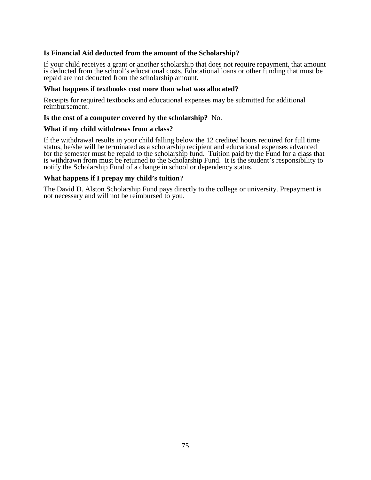## **Is Financial Aid deducted from the amount of the Scholarship?**

If your child receives a grant or another scholarship that does not require repayment, that amount is deducted from the school's educational costs. Educational loans or other funding that must be repaid are not deducted from the scholarship amount.

#### **What happens if textbooks cost more than what was allocated?**

Receipts for required textbooks and educational expenses may be submitted for additional reimbursement.

#### **Is the cost of a computer covered by the scholarship?** No.

#### **What if my child withdraws from a class?**

If the withdrawal results in your child falling below the 12 credited hours required for full time status, he/she will be terminated as a scholarship recipient and educational expenses advanced for the semester must be repaid to the scholarship fund. Tuition paid by the Fund for a class that is withdrawn from must be returned to the Scholarship Fund. It is the student's responsibility to notify the Scholarship Fund of a change in school or dependency status.

#### **What happens if I prepay my child's tuition?**

The David D. Alston Scholarship Fund pays directly to the college or university. Prepayment is not necessary and will not be reimbursed to you.